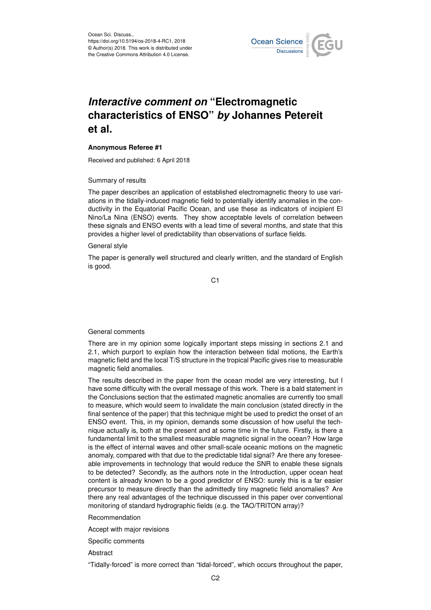

# *Interactive comment on* **"Electromagnetic characteristics of ENSO"** *by* **Johannes Petereit et al.**

### **Anonymous Referee #1**

Received and published: 6 April 2018

### Summary of results

The paper describes an application of established electromagnetic theory to use variations in the tidally-induced magnetic field to potentially identify anomalies in the conductivity in the Equatorial Pacific Ocean, and use these as indicators of incipient El Nino/La Nina (ENSO) events. They show acceptable levels of correlation between these signals and ENSO events with a lead time of several months, and state that this provides a higher level of predictability than observations of surface fields.

### General style

The paper is generally well structured and clearly written, and the standard of English is good.

C<sub>1</sub>

## General comments

There are in my opinion some logically important steps missing in sections 2.1 and 2.1, which purport to explain how the interaction between tidal motions, the Earth's magnetic field and the local T/S structure in the tropical Pacific gives rise to measurable magnetic field anomalies.

The results described in the paper from the ocean model are very interesting, but I have some difficulty with the overall message of this work. There is a bald statement in the Conclusions section that the estimated magnetic anomalies are currently too small to measure, which would seem to invalidate the main conclusion (stated directly in the final sentence of the paper) that this technique might be used to predict the onset of an ENSO event. This, in my opinion, demands some discussion of how useful the technique actually is, both at the present and at some time in the future. Firstly, is there a fundamental limit to the smallest measurable magnetic signal in the ocean? How large is the effect of internal waves and other small-scale oceanic motions on the magnetic anomaly, compared with that due to the predictable tidal signal? Are there any foreseeable improvements in technology that would reduce the SNR to enable these signals to be detected? Secondly, as the authors note in the Introduction, upper ocean heat content is already known to be a good predictor of ENSO: surely this is a far easier precursor to measure directly than the admittedly tiny magnetic field anomalies? Are there any real advantages of the technique discussed in this paper over conventional monitoring of standard hydrographic fields (e.g. the TAO/TRITON array)?

Recommendation

- Accept with major revisions
- Specific comments

Abstract

"Tidally-forced" is more correct than "tidal-forced", which occurs throughout the paper,